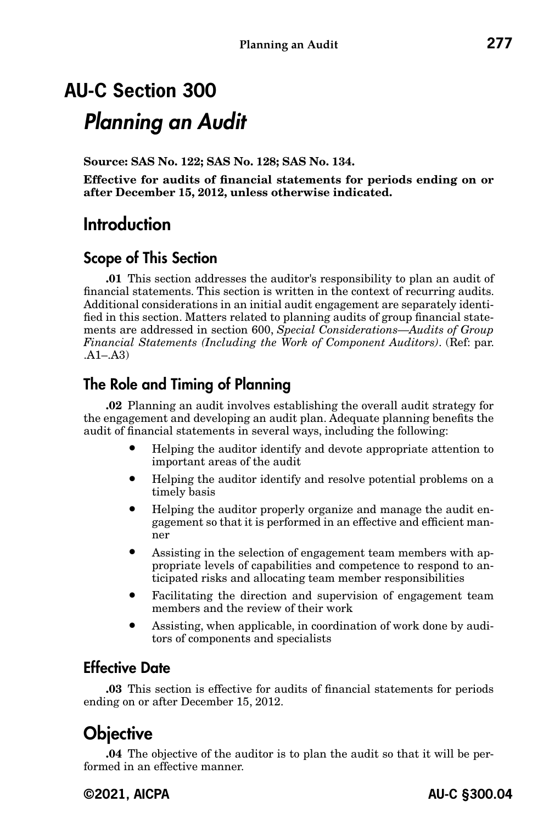# **AU-C Section 300** *Planning an Audit*

**Source: SAS No. 122; SAS No. 128; SAS No. 134.**

**Effective for audits of financial statements for periods ending on or after December 15, 2012, unless otherwise indicated.**

## **Introduction**

## **Scope of This Section**

**.01** This section addresses the auditor's responsibility to plan an audit of financial statements. This section is written in the context of recurring audits. Additional considerations in an initial audit engagement are separately identified in this section. Matters related to planning audits of group financial statements are addressed in section 600, *Special Considerations—Audits of Group Financial Statements (Including the Work of Component Auditors)*. (Ref: par.  $A1 - A3$ 

## **The Role and Timing of Planning**

**.02** Planning an audit involves establishing the overall audit strategy for the engagement and developing an audit plan. Adequate planning benefits the audit of financial statements in several ways, including the following:

- Helping the auditor identify and devote appropriate attention to important areas of the audit
- Helping the auditor identify and resolve potential problems on a timely basis
- Helping the auditor properly organize and manage the audit engagement so that it is performed in an effective and efficient manner
- Assisting in the selection of engagement team members with appropriate levels of capabilities and competence to respond to anticipated risks and allocating team member responsibilities
- Facilitating the direction and supervision of engagement team members and the review of their work
- Assisting, when applicable, in coordination of work done by auditors of components and specialists

## **Effective Date**

**.03** This section is effective for audits of financial statements for periods ending on or after December 15, 2012.

## **Objective**

**.04** The objective of the auditor is to plan the audit so that it will be performed in an effective manner.

**©2021, AICPA AU-C §300.04**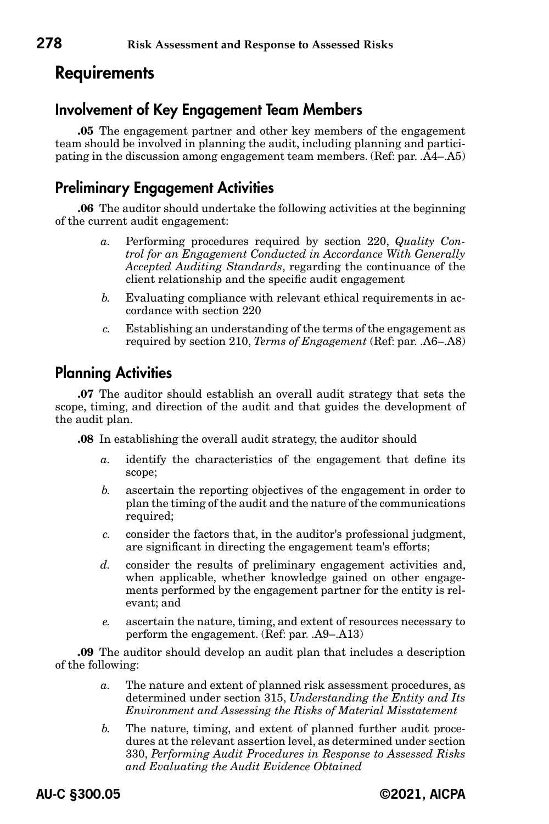## **Requirements**

## **Involvement of Key Engagement Team Members**

**.05** The engagement partner and other key members of the engagement team should be involved in planning the audit, including planning and participating in the discussion among engagement team members. (Ref: par. .A4–.A5)

## **Preliminary Engagement Activities**

**.06** The auditor should undertake the following activities at the beginning of the current audit engagement:

- *a.* Performing procedures required by section 220, *Quality Control for an Engagement Conducted in Accordance With Generally Accepted Auditing Standards*, regarding the continuance of the client relationship and the specific audit engagement
- *b.* Evaluating compliance with relevant ethical requirements in accordance with section 220
- *c.* Establishing an understanding of the terms of the engagement as required by section 210, *Terms of Engagement* (Ref: par. .A6–.A8)

## **Planning Activities**

**.07** The auditor should establish an overall audit strategy that sets the scope, timing, and direction of the audit and that guides the development of the audit plan.

**.08** In establishing the overall audit strategy, the auditor should

- *a.* identify the characteristics of the engagement that define its scope;
- *b.* ascertain the reporting objectives of the engagement in order to plan the timing of the audit and the nature of the communications required;
- *c.* consider the factors that, in the auditor's professional judgment, are significant in directing the engagement team's efforts;
- *d.* consider the results of preliminary engagement activities and, when applicable, whether knowledge gained on other engagements performed by the engagement partner for the entity is relevant; and
- *e.* ascertain the nature, timing, and extent of resources necessary to perform the engagement. (Ref: par. .A9–.A13)

**.09** The auditor should develop an audit plan that includes a description of the following:

- *a.* The nature and extent of planned risk assessment procedures, as determined under section 315, *Understanding the Entity and Its Environment and Assessing the Risks of Material Misstatement*
- *b.* The nature, timing, and extent of planned further audit procedures at the relevant assertion level, as determined under section 330, *Performing Audit Procedures in Response to Assessed Risks and Evaluating the Audit Evidence Obtained*

**AU-C §300.05 ©2021, AICPA**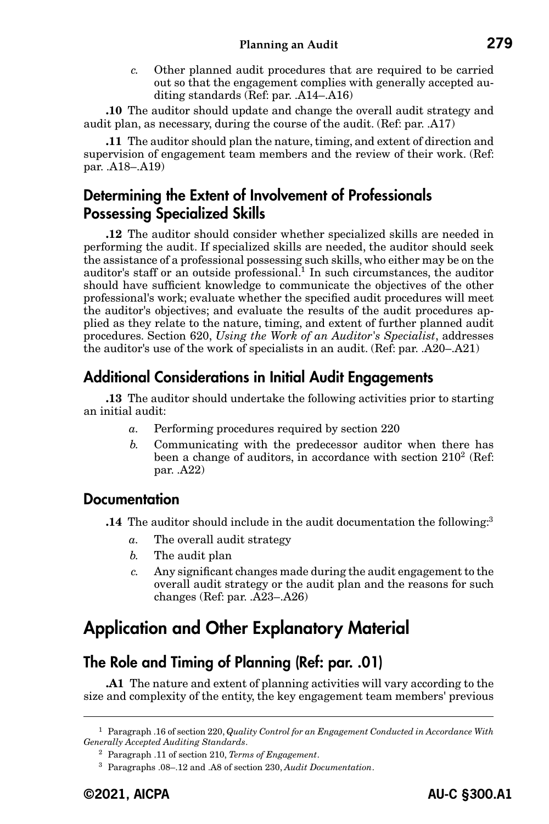*c.* Other planned audit procedures that are required to be carried out so that the engagement complies with generally accepted auditing standards (Ref: par. .A14–.A16)

**.10** The auditor should update and change the overall audit strategy and audit plan, as necessary, during the course of the audit. (Ref: par. .A17)

**.11** The auditor should plan the nature, timing, and extent of direction and supervision of engagement team members and the review of their work. (Ref: par. .A18–.A19)

## **Determining the Extent of Involvement of Professionals Possessing Specialized Skills**

**.12** The auditor should consider whether specialized skills are needed in performing the audit. If specialized skills are needed, the auditor should seek the assistance of a professional possessing such skills, who either may be on the auditor's staff or an outside professional.<sup>1</sup> In such circumstances, the auditor should have sufficient knowledge to communicate the objectives of the other professional's work; evaluate whether the specified audit procedures will meet the auditor's objectives; and evaluate the results of the audit procedures applied as they relate to the nature, timing, and extent of further planned audit procedures. Section 620, *Using the Work of an Auditor's Specialist*, addresses the auditor's use of the work of specialists in an audit. (Ref: par. .A20–.A21)

## **Additional Considerations in Initial Audit Engagements**

**.13** The auditor should undertake the following activities prior to starting an initial audit:

- *a.* Performing procedures required by section 220
- *b.* Communicating with the predecessor auditor when there has been a change of auditors, in accordance with section  $210^2$  (Ref: par. .A22)

#### **Documentation**

**.14** The auditor should include in the audit documentation the following:<sup>3</sup>

- *a.* The overall audit strategy
- *b.* The audit plan
- *c.* Any significant changes made during the audit engagement to the overall audit strategy or the audit plan and the reasons for such changes (Ref: par. .A23–.A26)

## **Application and Other Explanatory Material**

## **The Role and Timing of Planning (Ref: par. .01)**

**.A1** The nature and extent of planning activities will vary according to the size and complexity of the entity, the key engagement team members' previous

<sup>1</sup> Paragraph .16 of section 220, *Quality Control for an Engagement Conducted in Accordance With Generally Accepted Auditing Standards*.

<sup>2</sup> Paragraph .11 of section 210, *Terms of Engagement*.

<sup>3</sup> Paragraphs .08–.12 and .A8 of section 230, *Audit Documentation*.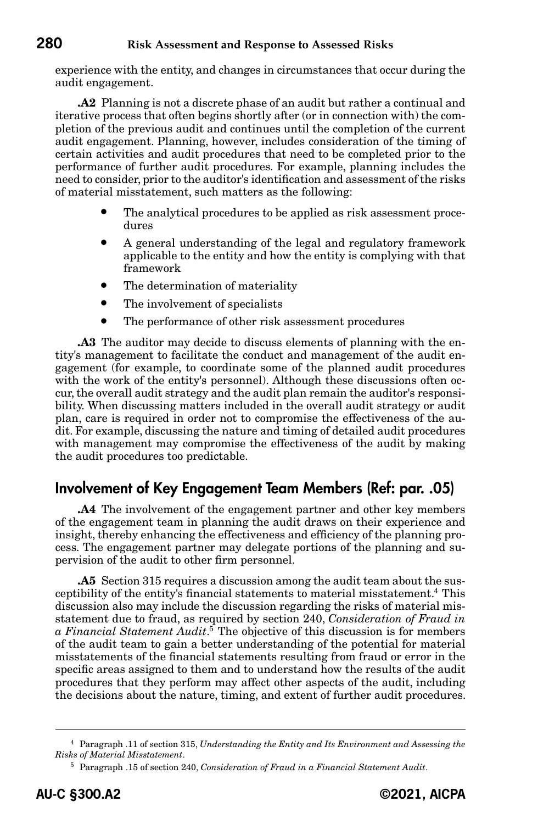experience with the entity, and changes in circumstances that occur during the audit engagement.

**.A2** Planning is not a discrete phase of an audit but rather a continual and iterative process that often begins shortly after (or in connection with) the completion of the previous audit and continues until the completion of the current audit engagement. Planning, however, includes consideration of the timing of certain activities and audit procedures that need to be completed prior to the performance of further audit procedures. For example, planning includes the need to consider, prior to the auditor's identification and assessment of the risks of material misstatement, such matters as the following:

- The analytical procedures to be applied as risk assessment procedures
- A general understanding of the legal and regulatory framework applicable to the entity and how the entity is complying with that framework
- The determination of materiality
- The involvement of specialists
- The performance of other risk assessment procedures

**.A3** The auditor may decide to discuss elements of planning with the entity's management to facilitate the conduct and management of the audit engagement (for example, to coordinate some of the planned audit procedures with the work of the entity's personnel). Although these discussions often occur, the overall audit strategy and the audit plan remain the auditor's responsibility. When discussing matters included in the overall audit strategy or audit plan, care is required in order not to compromise the effectiveness of the audit. For example, discussing the nature and timing of detailed audit procedures with management may compromise the effectiveness of the audit by making the audit procedures too predictable.

## **Involvement of Key Engagement Team Members (Ref: par. .05)**

**.A4** The involvement of the engagement partner and other key members of the engagement team in planning the audit draws on their experience and insight, thereby enhancing the effectiveness and efficiency of the planning process. The engagement partner may delegate portions of the planning and supervision of the audit to other firm personnel.

**.A5** Section 315 requires a discussion among the audit team about the susceptibility of the entity's financial statements to material misstatement.4 This discussion also may include the discussion regarding the risks of material misstatement due to fraud, as required by section 240, *Consideration of Fraud in a Financial Statement Audit*. <sup>5</sup> The objective of this discussion is for members of the audit team to gain a better understanding of the potential for material misstatements of the financial statements resulting from fraud or error in the specific areas assigned to them and to understand how the results of the audit procedures that they perform may affect other aspects of the audit, including the decisions about the nature, timing, and extent of further audit procedures.

<sup>4</sup> Paragraph .11 of section 315, *Understanding the Entity and Its Environment and Assessing the Risks of Material Misstatement*.

<sup>5</sup> Paragraph .15 of section 240, *Consideration of Fraud in a Financial Statement Audit*.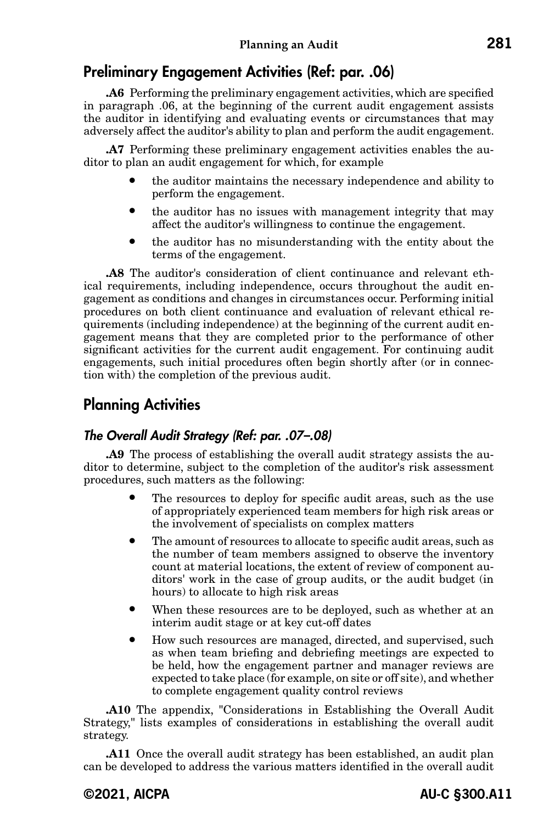## **Preliminary Engagement Activities (Ref: par. .06)**

**.A6** Performing the preliminary engagement activities, which are specified in paragraph .06, at the beginning of the current audit engagement assists the auditor in identifying and evaluating events or circumstances that may adversely affect the auditor's ability to plan and perform the audit engagement.

**.A7** Performing these preliminary engagement activities enables the auditor to plan an audit engagement for which, for example

- the auditor maintains the necessary independence and ability to perform the engagement.
- the auditor has no issues with management integrity that may affect the auditor's willingness to continue the engagement.
- the auditor has no misunderstanding with the entity about the terms of the engagement.

**.A8** The auditor's consideration of client continuance and relevant ethical requirements, including independence, occurs throughout the audit engagement as conditions and changes in circumstances occur. Performing initial procedures on both client continuance and evaluation of relevant ethical requirements (including independence) at the beginning of the current audit engagement means that they are completed prior to the performance of other significant activities for the current audit engagement. For continuing audit engagements, such initial procedures often begin shortly after (or in connection with) the completion of the previous audit.

## **Planning Activities**

#### *The Overall Audit Strategy (Ref: par. .07–.08)*

**.A9** The process of establishing the overall audit strategy assists the auditor to determine, subject to the completion of the auditor's risk assessment procedures, such matters as the following:

- The resources to deploy for specific audit areas, such as the use of appropriately experienced team members for high risk areas or the involvement of specialists on complex matters
- The amount of resources to allocate to specific audit areas, such as the number of team members assigned to observe the inventory count at material locations, the extent of review of component auditors' work in the case of group audits, or the audit budget (in hours) to allocate to high risk areas
- When these resources are to be deployed, such as whether at an interim audit stage or at key cut-off dates
- How such resources are managed, directed, and supervised, such as when team briefing and debriefing meetings are expected to be held, how the engagement partner and manager reviews are expected to take place (for example, on site or off site), and whether to complete engagement quality control reviews

**.A10** The appendix, "Considerations in Establishing the Overall Audit Strategy," lists examples of considerations in establishing the overall audit strategy.

**.A11** Once the overall audit strategy has been established, an audit plan can be developed to address the various matters identified in the overall audit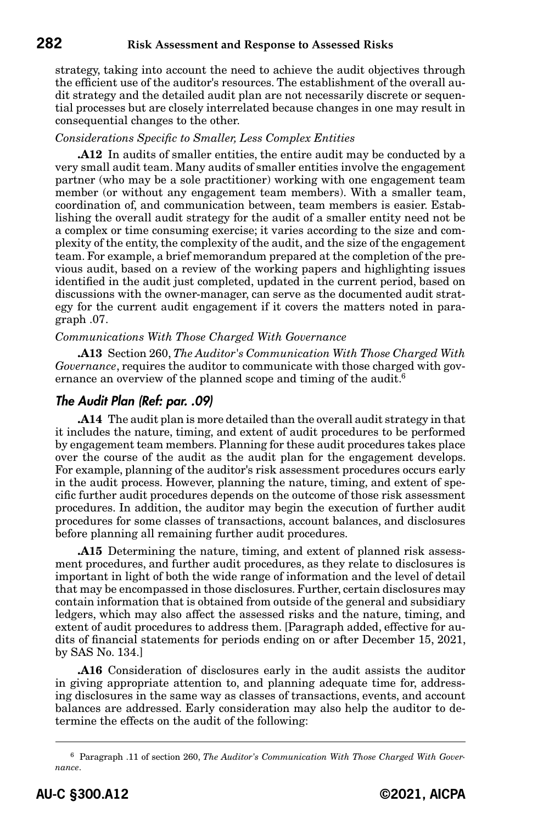#### **282 Risk Assessment and Response to Assessed Risks**

strategy, taking into account the need to achieve the audit objectives through the efficient use of the auditor's resources. The establishment of the overall audit strategy and the detailed audit plan are not necessarily discrete or sequential processes but are closely interrelated because changes in one may result in consequential changes to the other.

#### *Considerations Specific to Smaller, Less Complex Entities*

**.A12** In audits of smaller entities, the entire audit may be conducted by a very small audit team. Many audits of smaller entities involve the engagement partner (who may be a sole practitioner) working with one engagement team member (or without any engagement team members). With a smaller team, coordination of, and communication between, team members is easier. Establishing the overall audit strategy for the audit of a smaller entity need not be a complex or time consuming exercise; it varies according to the size and complexity of the entity, the complexity of the audit, and the size of the engagement team. For example, a brief memorandum prepared at the completion of the previous audit, based on a review of the working papers and highlighting issues identified in the audit just completed, updated in the current period, based on discussions with the owner-manager, can serve as the documented audit strategy for the current audit engagement if it covers the matters noted in paragraph .07.

#### *Communications With Those Charged With Governance*

**.A13** Section 260, *The Auditor's Communication With Those Charged With Governance*, requires the auditor to communicate with those charged with governance an overview of the planned scope and timing of the audit.<sup>6</sup>

#### *The Audit Plan (Ref: par. .09)*

**.A14** The audit plan is more detailed than the overall audit strategy in that it includes the nature, timing, and extent of audit procedures to be performed by engagement team members. Planning for these audit procedures takes place over the course of the audit as the audit plan for the engagement develops. For example, planning of the auditor's risk assessment procedures occurs early in the audit process. However, planning the nature, timing, and extent of specific further audit procedures depends on the outcome of those risk assessment procedures. In addition, the auditor may begin the execution of further audit procedures for some classes of transactions, account balances, and disclosures before planning all remaining further audit procedures.

**.A15** Determining the nature, timing, and extent of planned risk assessment procedures, and further audit procedures, as they relate to disclosures is important in light of both the wide range of information and the level of detail that may be encompassed in those disclosures. Further, certain disclosures may contain information that is obtained from outside of the general and subsidiary ledgers, which may also affect the assessed risks and the nature, timing, and extent of audit procedures to address them. [Paragraph added, effective for audits of financial statements for periods ending on or after December 15, 2021, by SAS No. 134.]

**.A16** Consideration of disclosures early in the audit assists the auditor in giving appropriate attention to, and planning adequate time for, addressing disclosures in the same way as classes of transactions, events, and account balances are addressed. Early consideration may also help the auditor to determine the effects on the audit of the following:

<sup>6</sup> Paragraph .11 of section 260, *The Auditor's Communication With Those Charged With Governance*.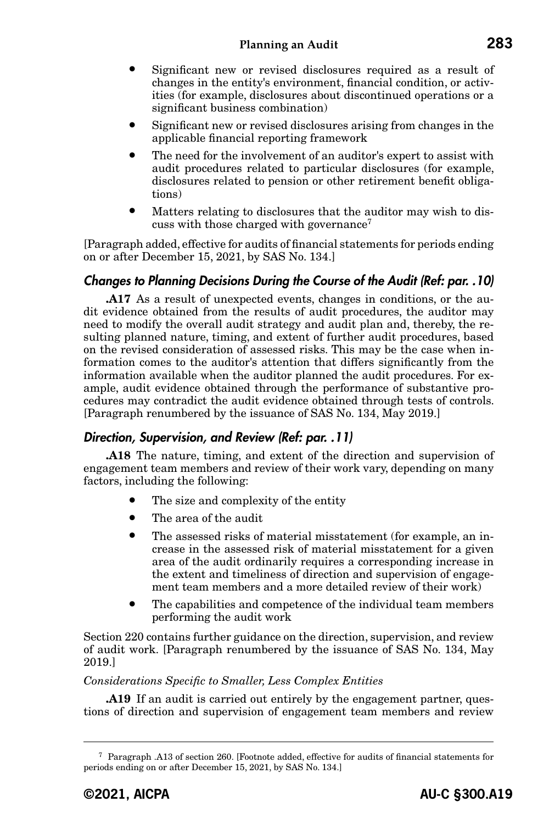- Significant new or revised disclosures required as a result of changes in the entity's environment, financial condition, or activities (for example, disclosures about discontinued operations or a significant business combination)
- Significant new or revised disclosures arising from changes in the applicable financial reporting framework
- The need for the involvement of an auditor's expert to assist with audit procedures related to particular disclosures (for example, disclosures related to pension or other retirement benefit obligations)
- Matters relating to disclosures that the auditor may wish to discuss with those charged with governance7

[Paragraph added, effective for audits of financial statements for periods ending on or after December 15, 2021, by SAS No. 134.]

#### *Changes to Planning Decisions During the Course of the Audit (Ref: par. .10)*

A17 As a result of unexpected events, changes in conditions, or the audit evidence obtained from the results of audit procedures, the auditor may need to modify the overall audit strategy and audit plan and, thereby, the resulting planned nature, timing, and extent of further audit procedures, based on the revised consideration of assessed risks. This may be the case when information comes to the auditor's attention that differs significantly from the information available when the auditor planned the audit procedures. For example, audit evidence obtained through the performance of substantive procedures may contradict the audit evidence obtained through tests of controls. [Paragraph renumbered by the issuance of SAS No. 134, May 2019.]

#### *Direction, Supervision, and Review (Ref: par. .11)*

**.A18** The nature, timing, and extent of the direction and supervision of engagement team members and review of their work vary, depending on many factors, including the following:

- The size and complexity of the entity
- The area of the audit
- The assessed risks of material misstatement (for example, an increase in the assessed risk of material misstatement for a given area of the audit ordinarily requires a corresponding increase in the extent and timeliness of direction and supervision of engagement team members and a more detailed review of their work)
- The capabilities and competence of the individual team members performing the audit work

Section 220 contains further guidance on the direction, supervision, and review of audit work. [Paragraph renumbered by the issuance of SAS No. 134, May 2019.]

#### *Considerations Specific to Smaller, Less Complex Entities*

**.A19** If an audit is carried out entirely by the engagement partner, questions of direction and supervision of engagement team members and review

<sup>7</sup> Paragraph .A13 of section 260. [Footnote added, effective for audits of financial statements for periods ending on or after December 15, 2021, by SAS No. 134.]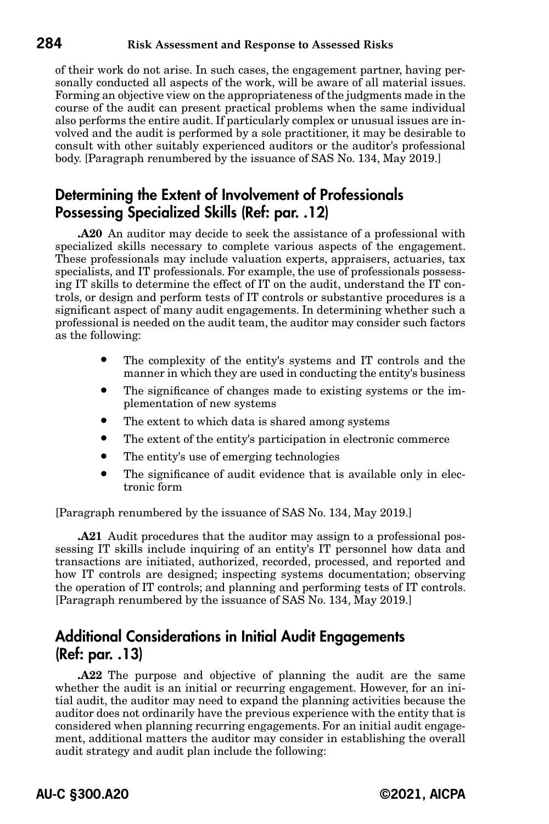#### **284 Risk Assessment and Response to Assessed Risks**

of their work do not arise. In such cases, the engagement partner, having personally conducted all aspects of the work, will be aware of all material issues. Forming an objective view on the appropriateness of the judgments made in the course of the audit can present practical problems when the same individual also performs the entire audit. If particularly complex or unusual issues are involved and the audit is performed by a sole practitioner, it may be desirable to consult with other suitably experienced auditors or the auditor's professional body. [Paragraph renumbered by the issuance of SAS No. 134, May 2019.]

## **Determining the Extent of Involvement of Professionals Possessing Specialized Skills (Ref: par. .12)**

**.A20** An auditor may decide to seek the assistance of a professional with specialized skills necessary to complete various aspects of the engagement. These professionals may include valuation experts, appraisers, actuaries, tax specialists, and IT professionals. For example, the use of professionals possessing IT skills to determine the effect of IT on the audit, understand the IT controls, or design and perform tests of IT controls or substantive procedures is a significant aspect of many audit engagements. In determining whether such a professional is needed on the audit team, the auditor may consider such factors as the following:

- The complexity of the entity's systems and IT controls and the manner in which they are used in conducting the entity's business
- The significance of changes made to existing systems or the implementation of new systems
- The extent to which data is shared among systems
- The extent of the entity's participation in electronic commerce
- The entity's use of emerging technologies
- The significance of audit evidence that is available only in electronic form

[Paragraph renumbered by the issuance of SAS No. 134, May 2019.]

**.A21** Audit procedures that the auditor may assign to a professional possessing IT skills include inquiring of an entity's IT personnel how data and transactions are initiated, authorized, recorded, processed, and reported and how IT controls are designed; inspecting systems documentation; observing the operation of IT controls; and planning and performing tests of IT controls. [Paragraph renumbered by the issuance of SAS No. 134, May 2019.]

## **Additional Considerations in Initial Audit Engagements (Ref: par. .13)**

**.A22** The purpose and objective of planning the audit are the same whether the audit is an initial or recurring engagement. However, for an initial audit, the auditor may need to expand the planning activities because the auditor does not ordinarily have the previous experience with the entity that is considered when planning recurring engagements. For an initial audit engagement, additional matters the auditor may consider in establishing the overall audit strategy and audit plan include the following: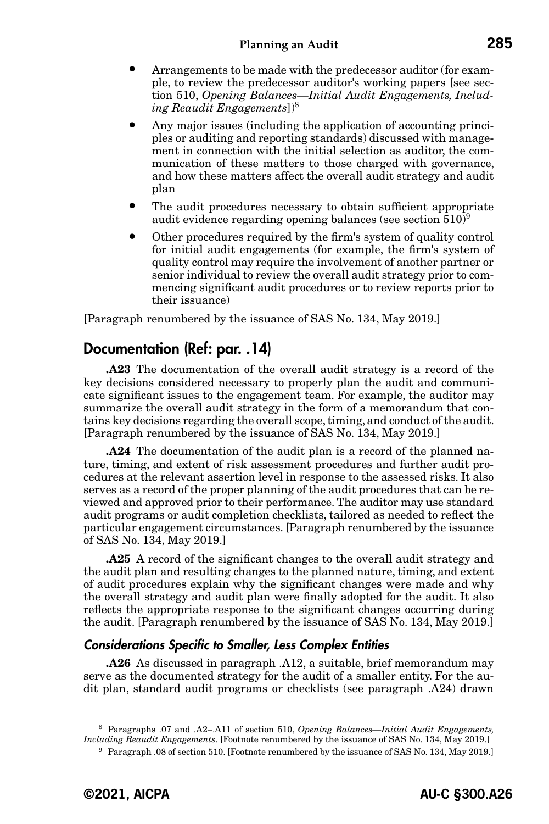- Arrangements to be made with the predecessor auditor (for example, to review the predecessor auditor's working papers [see section 510, *Opening Balances—Initial Audit Engagements, Including Reaudit Engagements*])8
- Any major issues (including the application of accounting principles or auditing and reporting standards) discussed with management in connection with the initial selection as auditor, the communication of these matters to those charged with governance, and how these matters affect the overall audit strategy and audit plan
- The audit procedures necessary to obtain sufficient appropriate audit evidence regarding opening balances (see section 510)9
- Other procedures required by the firm's system of quality control for initial audit engagements (for example, the firm's system of quality control may require the involvement of another partner or senior individual to review the overall audit strategy prior to commencing significant audit procedures or to review reports prior to their issuance)

[Paragraph renumbered by the issuance of SAS No. 134, May 2019.]

## **Documentation (Ref: par. .14)**

**.A23** The documentation of the overall audit strategy is a record of the key decisions considered necessary to properly plan the audit and communicate significant issues to the engagement team. For example, the auditor may summarize the overall audit strategy in the form of a memorandum that contains key decisions regarding the overall scope, timing, and conduct of the audit. [Paragraph renumbered by the issuance of SAS No. 134, May 2019.]

**.A24** The documentation of the audit plan is a record of the planned nature, timing, and extent of risk assessment procedures and further audit procedures at the relevant assertion level in response to the assessed risks. It also serves as a record of the proper planning of the audit procedures that can be reviewed and approved prior to their performance. The auditor may use standard audit programs or audit completion checklists, tailored as needed to reflect the particular engagement circumstances. [Paragraph renumbered by the issuance of SAS No. 134, May 2019.]

**.A25** A record of the significant changes to the overall audit strategy and the audit plan and resulting changes to the planned nature, timing, and extent of audit procedures explain why the significant changes were made and why the overall strategy and audit plan were finally adopted for the audit. It also reflects the appropriate response to the significant changes occurring during the audit. [Paragraph renumbered by the issuance of SAS No. 134, May 2019.]

### *Considerations Specific to Smaller, Less Complex Entities*

**.A26** As discussed in paragraph .A12, a suitable, brief memorandum may serve as the documented strategy for the audit of a smaller entity. For the audit plan, standard audit programs or checklists (see paragraph .A24) drawn

<sup>8</sup> Paragraphs .07 and .A2–.A11 of section 510, *Opening Balances—Initial Audit Engagements, Including Reaudit Engagements*. [Footnote renumbered by the issuance of SAS No. 134, May 2019.] <sup>9</sup> Paragraph .08 of section 510. [Footnote renumbered by the issuance of SAS No. 134, May 2019.]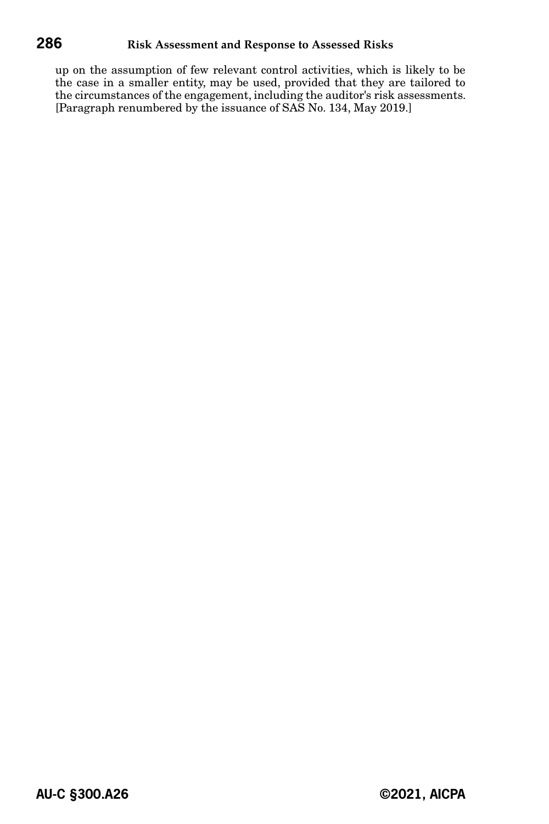up on the assumption of few relevant control activities, which is likely to be the case in a smaller entity, may be used, provided that they are tailored to the circumstances of the engagement, including the auditor's risk assessments. [Paragraph renumbered by the issuance of SAS No. 134, May 2019.]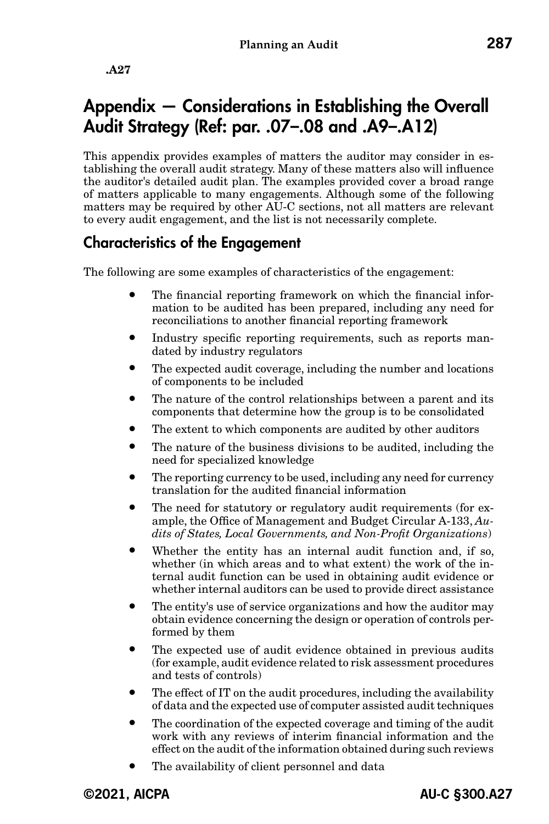**.A27**

## **Appendix — Considerations in Establishing the Overall Audit Strategy (Ref: par. .07–.08 and .A9–.A12)**

This appendix provides examples of matters the auditor may consider in establishing the overall audit strategy. Many of these matters also will influence the auditor's detailed audit plan. The examples provided cover a broad range of matters applicable to many engagements. Although some of the following matters may be required by other AU-C sections, not all matters are relevant to every audit engagement, and the list is not necessarily complete.

## **Characteristics of the Engagement**

The following are some examples of characteristics of the engagement:

- The financial reporting framework on which the financial information to be audited has been prepared, including any need for reconciliations to another financial reporting framework
- Industry specific reporting requirements, such as reports mandated by industry regulators
- The expected audit coverage, including the number and locations of components to be included
- The nature of the control relationships between a parent and its components that determine how the group is to be consolidated
- The extent to which components are audited by other auditors
- The nature of the business divisions to be audited, including the need for specialized knowledge
- The reporting currency to be used, including any need for currency translation for the audited financial information
- The need for statutory or regulatory audit requirements (for example, the Office of Management and Budget Circular A-133, *Audits of States, Local Governments, and Non-Profit Organizations*)
- Whether the entity has an internal audit function and, if so, whether (in which areas and to what extent) the work of the internal audit function can be used in obtaining audit evidence or whether internal auditors can be used to provide direct assistance
- The entity's use of service organizations and how the auditor may obtain evidence concerning the design or operation of controls performed by them
- The expected use of audit evidence obtained in previous audits (for example, audit evidence related to risk assessment procedures and tests of controls)
- The effect of IT on the audit procedures, including the availability of data and the expected use of computer assisted audit techniques
- The coordination of the expected coverage and timing of the audit work with any reviews of interim financial information and the effect on the audit of the information obtained during such reviews
- The availability of client personnel and data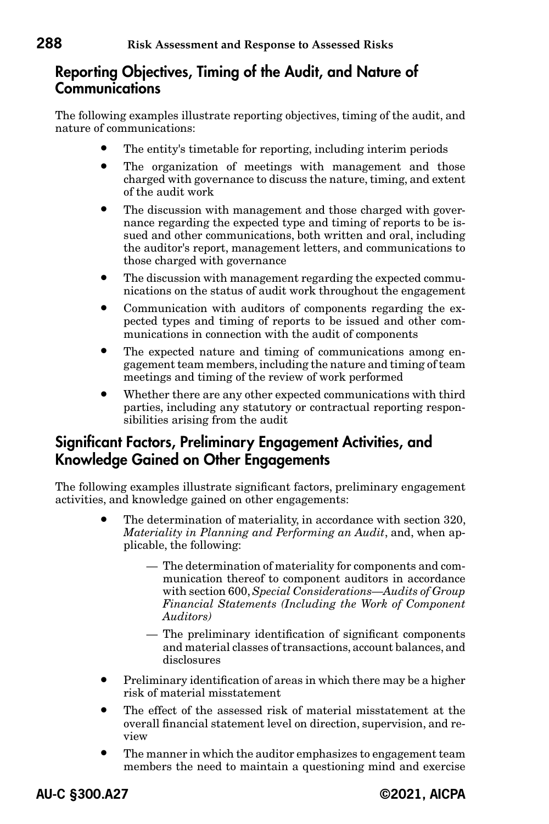## **Reporting Objectives, Timing of the Audit, and Nature of Communications**

The following examples illustrate reporting objectives, timing of the audit, and nature of communications:

- The entity's timetable for reporting, including interim periods
- The organization of meetings with management and those charged with governance to discuss the nature, timing, and extent of the audit work
- The discussion with management and those charged with governance regarding the expected type and timing of reports to be issued and other communications, both written and oral, including the auditor's report, management letters, and communications to those charged with governance
- The discussion with management regarding the expected communications on the status of audit work throughout the engagement
- Communication with auditors of components regarding the expected types and timing of reports to be issued and other communications in connection with the audit of components
- The expected nature and timing of communications among engagement team members, including the nature and timing of team meetings and timing of the review of work performed
- Whether there are any other expected communications with third parties, including any statutory or contractual reporting responsibilities arising from the audit

## **Significant Factors, Preliminary Engagement Activities, and Knowledge Gained on Other Engagements**

The following examples illustrate significant factors, preliminary engagement activities, and knowledge gained on other engagements:

- The determination of materiality, in accordance with section 320, *Materiality in Planning and Performing an Audit*, and, when applicable, the following:
	- The determination of materiality for components and communication thereof to component auditors in accordance with section 600, *Special Considerations—Audits of Group Financial Statements (Including the Work of Component Auditors)*
	- The preliminary identification of significant components and material classes of transactions, account balances, and disclosures
- Preliminary identification of areas in which there may be a higher risk of material misstatement
- The effect of the assessed risk of material misstatement at the overall financial statement level on direction, supervision, and review
- The manner in which the auditor emphasizes to engagement team members the need to maintain a questioning mind and exercise